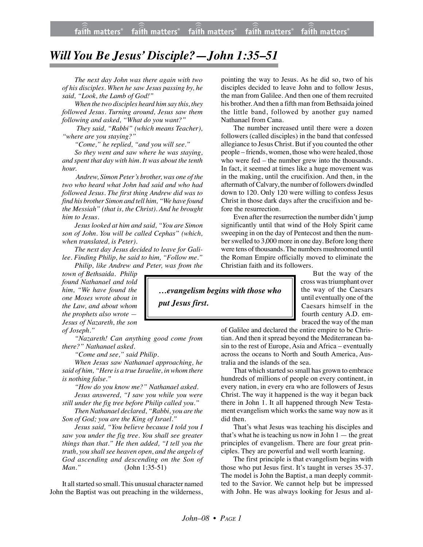## *Will You Be Jesus' Disciple?—John 1:35–51*

*The next day John was there again with two of his disciples. When he saw Jesus passing by, he said, "Look, the Lamb of God!"*

faith matters $^\circ$ 

*When the two disciples heard him say this, they followed Jesus. Turning around, Jesus saw them following and asked, "What do you want?"*

 *They said, "Rabbi" (which means Teacher), "where are you staying?"*

*"Come," he replied, "and you will see."*

*So they went and saw where he was staying, and spent that day with him. It was about the tenth hour.*

*Andrew, Simon Peter's brother, was one of the two who heard what John had said and who had followed Jesus. The first thing Andrew did was to find his brother Simon and tell him, "We have found the Messiah" (that is, the Christ). And he brought him to Jesus.*

*Jesus looked at him and said, "You are Simon son of John. You will be called Cephas" (which, when translated, is Peter).*

*The next day Jesus decided to leave for Galilee. Finding Philip, he said to him, "Follow me." Philip, like Andrew and Peter, was from the*

*town of Bethsaida. Philip found Nathanael and told him, "We have found the one Moses wrote about in the Law, and about whom the prophets also wrote — Jesus of Nazareth, the son of Joseph."*

*"Nazareth! Can anything good come from there?" Nathanael asked.*

*"Come and see," said Philip.*

*When Jesus saw Nathanael approaching, he said of him, "Here is a true Israelite, in whom there is nothing false."*

*"How do you know me?" Nathanael asked. Jesus answered, "I saw you while you were*

*still under the fig tree before Philip called you." Then Nathanael declared, "Rabbi, you are the*

*Son of God; you are the King of Israel."*

*Jesus said, "You believe because I told you I saw you under the fig tree. You shall see greater things than that." He then added, "I tell you the truth, you shall see heaven open, and the angels of God ascending and descending on the Son of Man."* (John 1:35-51)

It all started so small. This unusual character named John the Baptist was out preaching in the wilderness,

pointing the way to Jesus. As he did so, two of his disciples decided to leave John and to follow Jesus, the man from Galilee. And then one of them recruited his brother. And then a fifth man from Bethsaida joined the little band, followed by another guy named Nathanael from Cana.

The number increased until there were a dozen followers (called disciples) in the band that confessed allegiance to Jesus Christ. But if you counted the other people – friends, women, those who were healed, those who were fed – the number grew into the thousands. In fact, it seemed at times like a huge movement was in the making, until the crucifixion. And then, in the aftermath of Calvary, the number of followers dwindled down to 120. Only 120 were willing to confess Jesus Christ in those dark days after the crucifixion and before the resurrection.

Even after the resurrection the number didn't jump significantly until that wind of the Holy Spirit came sweeping in on the day of Pentecost and then the number swelled to 3,000 more in one day. Before long there were tens of thousands. The numbers mushroomed until the Roman Empire officially moved to eliminate the Christian faith and its followers.

> But the way of the cross was triumphant over the way of the Caesars until eventually one of the Caesars himself in the fourth century A.D. embraced the way of the man

of Galilee and declared the entire empire to be Christian. And then it spread beyond the Mediterranean basin to the rest of Europe, Asia and Africa – eventually across the oceans to North and South America, Australia and the islands of the sea.

That which started so small has grown to embrace hundreds of millions of people on every continent, in every nation, in every era who are followers of Jesus Christ. The way it happened is the way it began back there in John 1. It all happened through New Testament evangelism which works the same way now as it did then.

That's what Jesus was teaching his disciples and that's what he is teaching us now in John  $1$  — the great principles of evangelism. There are four great principles. They are powerful and well worth learning.

The first principle is that evangelism begins with those who put Jesus first. It's taught in verses 35-37. The model is John the Baptist, a man deeply committed to the Savior. We cannot help but be impressed with John. He was always looking for Jesus and al-

*put Jesus first.*

*…evangelism begins with those who*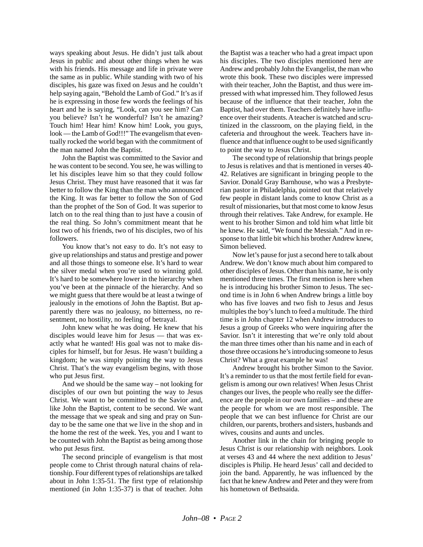ways speaking about Jesus. He didn't just talk about Jesus in public and about other things when he was with his friends. His message and life in private were the same as in public. While standing with two of his disciples, his gaze was fixed on Jesus and he couldn't help saying again, "Behold the Lamb of God." It's as if he is expressing in those few words the feelings of his heart and he is saying, "Look, can you see him? Can you believe? Isn't he wonderful? Isn't he amazing? Touch him! Hear him! Know him! Look, you guys, look — the Lamb of God!!!" The evangelism that eventually rocked the world began with the commitment of the man named John the Baptist.

John the Baptist was committed to the Savior and he was content to be second. You see, he was willing to let his disciples leave him so that they could follow Jesus Christ. They must have reasoned that it was far better to follow the King than the man who announced the King. It was far better to follow the Son of God than the prophet of the Son of God. It was superior to latch on to the real thing than to just have a cousin of the real thing. So John's commitment meant that he lost two of his friends, two of his disciples, two of his followers.

You know that's not easy to do. It's not easy to give up relationships and status and prestige and power and all those things to someone else. It's hard to wear the silver medal when you're used to winning gold. It's hard to be somewhere lower in the hierarchy when you've been at the pinnacle of the hierarchy. And so we might guess that there would be at least a twinge of jealously in the emotions of John the Baptist. But apparently there was no jealousy, no bitterness, no resentment, no hostility, no feeling of betrayal.

John knew what he was doing. He knew that his disciples would leave him for Jesus — that was exactly what he wanted! His goal was not to make disciples for himself, but for Jesus. He wasn't building a kingdom; he was simply pointing the way to Jesus Christ. That's the way evangelism begins, with those who put Jesus first.

And we should be the same way – not looking for disciples of our own but pointing the way to Jesus Christ. We want to be committed to the Savior and, like John the Baptist, content to be second. We want the message that we speak and sing and pray on Sunday to be the same one that we live in the shop and in the home the rest of the week. Yes, you and I want to be counted with John the Baptist as being among those who put Jesus first.

The second principle of evangelism is that most people come to Christ through natural chains of relationship. Four different types of relationships are talked about in John 1:35-51. The first type of relationship mentioned (in John 1:35-37) is that of teacher. John the Baptist was a teacher who had a great impact upon his disciples. The two disciples mentioned here are Andrew and probably John the Evangelist, the man who wrote this book. These two disciples were impressed with their teacher, John the Baptist, and thus were impressed with what impressed him. They followed Jesus because of the influence that their teacher, John the Baptist, had over them. Teachers definitely have influence over their students. A teacher is watched and scrutinized in the classroom, on the playing field, in the cafeteria and throughout the week. Teachers have influence and that influence ought to be used significantly to point the way to Jesus Christ.

The second type of relationship that brings people to Jesus is relatives and that is mentioned in verses 40- 42. Relatives are significant in bringing people to the Savior. Donald Gray Barnhouse, who was a Presbyterian pastor in Philadelphia, pointed out that relatively few people in distant lands come to know Christ as a result of missionaries, but that most come to know Jesus through their relatives. Take Andrew, for example. He went to his brother Simon and told him what little bit he knew. He said, "We found the Messiah." And in response to that little bit which his brother Andrew knew, Simon believed.

Now let's pause for just a second here to talk about Andrew. We don't know much about him compared to other disciples of Jesus. Other than his name, he is only mentioned three times. The first mention is here when he is introducing his brother Simon to Jesus. The second time is in John 6 when Andrew brings a little boy who has five loaves and two fish to Jesus and Jesus multiples the boy's lunch to feed a multitude. The third time is in John chapter 12 when Andrew introduces to Jesus a group of Greeks who were inquiring after the Savior. Isn't it interesting that we're only told about the man three times other than his name and in each of those three occasions he's introducing someone to Jesus Christ? What a great example he was!

Andrew brought his brother Simon to the Savior. It's a reminder to us that the most fertile field for evangelism is among our own relatives! When Jesus Christ changes our lives, the people who really see the difference are the people in our own families – and these are the people for whom we are most responsible. The people that we can best influence for Christ are our children, our parents, brothers and sisters, husbands and wives, cousins and aunts and uncles.

Another link in the chain for bringing people to Jesus Christ is our relationship with neighbors. Look at verses 43 and 44 where the next addition to Jesus' disciples is Philip. He heard Jesus' call and decided to join the band. Apparently, he was influenced by the fact that he knew Andrew and Peter and they were from his hometown of Bethsaida.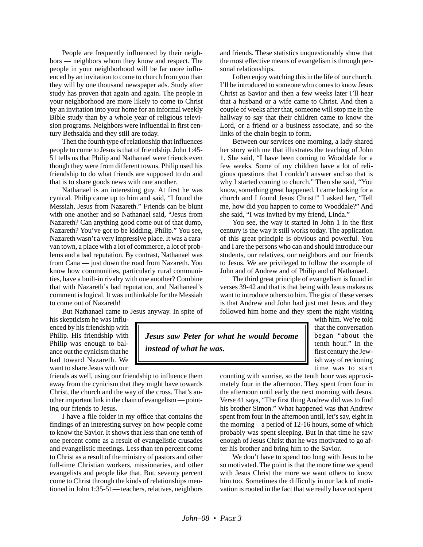People are frequently influenced by their neighbors — neighbors whom they know and respect. The people in your neighborhood will be far more influenced by an invitation to come to church from you than they will by one thousand newspaper ads. Study after study has proven that again and again. The people in your neighborhood are more likely to come to Christ by an invitation into your home for an informal weekly Bible study than by a whole year of religious television programs. Neighbors were influential in first century Bethsaida and they still are today.

Then the fourth type of relationship that influences people to come to Jesus is that of friendship. John 1:45- 51 tells us that Philip and Nathanael were friends even though they were from different towns. Philip used his friendship to do what friends are supposed to do and that is to share goods news with one another.

Nathanael is an interesting guy. At first he was cynical. Philip came up to him and said, "I found the Messiah, Jesus from Nazareth." Friends can be blunt with one another and so Nathanael said, "Jesus from Nazareth? Can anything good come out of that dump, Nazareth? You've got to be kidding, Philip." You see, Nazareth wasn't a very impressive place. It was a caravan town, a place with a lot of commerce, a lot of problems and a bad reputation. By contrast, Nathanael was from Cana — just down the road from Nazareth. You know how communities, particularly rural communities, have a built-in rivalry with one another? Combine that with Nazareth's bad reputation, and Nathaneal's comment is logical. It was unthinkable for the Messiah to come out of Nazareth!

But Nathanael came to Jesus anyway. In spite of

his skepticism he was influenced by his friendship with Philip. His friendship with Philip was enough to balance out the cynicism that he had toward Nazareth. We want to share Jesus with our

friends as well, using our friendship to influence them away from the cynicism that they might have towards Christ, the church and the way of the cross. That's another important link in the chain of evangelism — pointing our friends to Jesus.

I have a file folder in my office that contains the findings of an interesting survey on how people come to know the Savior. It shows that less than one tenth of one percent come as a result of evangelistic crusades and evangelistic meetings. Less than ten percent come to Christ as a result of the ministry of pastors and other full-time Christian workers, missionaries, and other evangelists and people like that. But, seventy percent come to Christ through the kinds of relationships mentioned in John 1:35-51— teachers, relatives, neighbors

and friends. These statistics unquestionably show that the most effective means of evangelism is through personal relationships.

I often enjoy watching this in the life of our church. I'll be introduced to someone who comes to know Jesus Christ as Savior and then a few weeks later I'll hear that a husband or a wife came to Christ. And then a couple of weeks after that, someone will stop me in the hallway to say that their children came to know the Lord, or a friend or a business associate, and so the links of the chain begin to form.

Between our services one morning, a lady shared her story with me that illustrates the teaching of John 1. She said, "I have been coming to Wooddale for a few weeks. Some of my children have a lot of religious questions that I couldn't answer and so that is why I started coming to church." Then she said, "You know, something great happened. I came looking for a church and I found Jesus Christ!" I asked her, "Tell me, how did you happen to come to Wooddale?" And she said, "I was invited by my friend, Linda."

You see, the way it started in John 1 in the first century is the way it still works today. The application of this great principle is obvious and powerful. You and I are the persons who can and should introduce our students, our relatives, our neighbors and our friends to Jesus. We are privileged to follow the example of John and of Andrew and of Philip and of Nathanael.

The third great principle of evangelism is found in verses 39-42 and that is that being with Jesus makes us want to introduce others to him. The gist of these verses is that Andrew and John had just met Jesus and they followed him home and they spent the night visiting

*Jesus saw Peter for what he would become instead of what he was.*

with him. We're told that the conversation began "about the tenth hour." In the first century the Jewish way of reckoning time was to start

counting with sunrise, so the tenth hour was approximately four in the afternoon. They spent from four in the afternoon until early the next morning with Jesus. Verse 41 says, "The first thing Andrew did was to find his brother Simon." What happened was that Andrew spent from four in the afternoon until, let's say, eight in the morning – a period of 12-16 hours, some of which probably was spent sleeping. But in that time he saw enough of Jesus Christ that he was motivated to go after his brother and bring him to the Savior.

We don't have to spend too long with Jesus to be so motivated. The point is that the more time we spend with Jesus Christ the more we want others to know him too. Sometimes the difficulty in our lack of motivation is rooted in the fact that we really have not spent